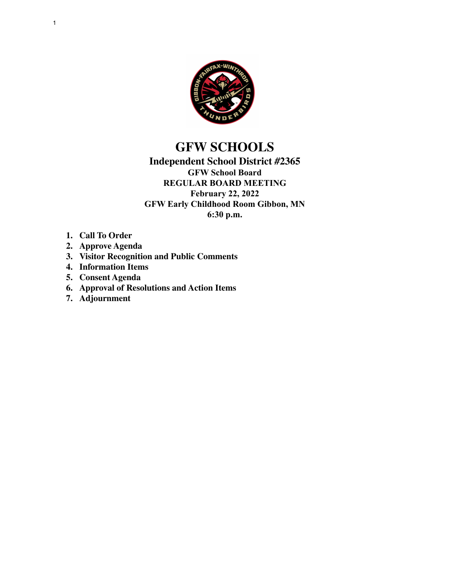

# **GFW SCHOOLS**

## **Independent School District #2365 GFW School Board REGULAR BOARD MEETING February 22, 2022 GFW Early Childhood Room Gibbon, MN 6:30 p.m.**

- **1. Call To Order**
- **2. Approve Agenda**
- **3. Visitor Recognition and Public Comments**
- **4. Information Items**
- **5. Consent Agenda**
- **6. Approval of Resolutions and Action Items**
- **7. Adjournment**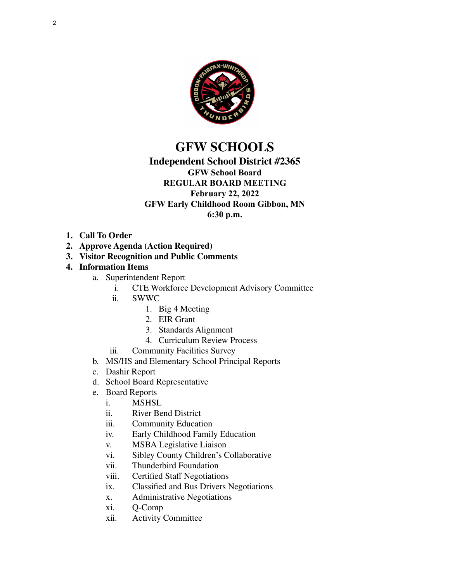

## **GFW SCHOOLS**

## **Independent School District #2365**

## **GFW School Board**

### **REGULAR BOARD MEETING February 22, 2022 GFW Early Childhood Room Gibbon, MN**

**6:30 p.m.**

- **1. Call To Order**
- **2. Approve Agenda (Action Required)**
- **3. Visitor Recognition and Public Comments**

### **4. Information Items**

- a. Superintendent Report
	- i. CTE Workforce Development Advisory Committee
	- ii. SWWC
		- 1. Big 4 Meeting
		- 2. EIR Grant
		- 3. Standards Alignment
		- 4. Curriculum Review Process
	- iii. Community Facilities Survey
- b. MS/HS and Elementary School Principal Reports
- c. Dashir Report
- d. School Board Representative
- e. Board Reports
	- i. MSHSL
	- ii. River Bend District
	- iii. Community Education
	- iv. Early Childhood Family Education
	- v. MSBA Legislative Liaison
	- vi. Sibley County Children's Collaborative
	- vii. Thunderbird Foundation
	- viii. Certified Staff Negotiations
	- ix. Classified and Bus Drivers Negotiations
	- x. Administrative Negotiations
	- xi. Q-Comp
	- xii. Activity Committee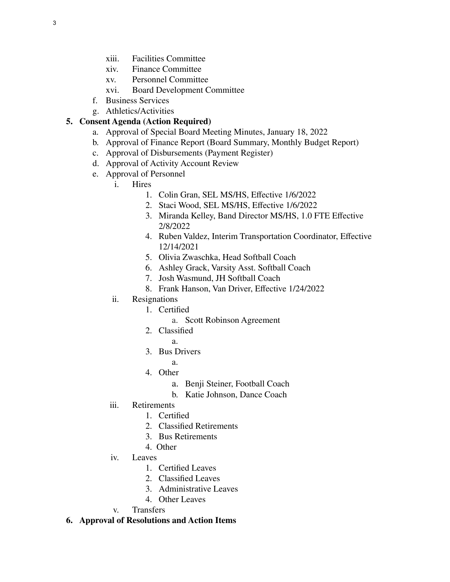- xiii. Facilities Committee
- xiv. Finance Committee
- xv. Personnel Committee
- xvi. Board Development Committee
- f. Business Services
- g. Athletics/Activities

### **5. Consent Agenda (Action Required)**

- a. Approval of Special Board Meeting Minutes, January 18, 2022
- b. Approval of Finance Report (Board Summary, Monthly Budget Report)
- c. Approval of Disbursements (Payment Register)
- d. Approval of Activity Account Review
- e. Approval of Personnel
	- i. Hires
		- 1. Colin Gran, SEL MS/HS, Effective 1/6/2022
		- 2. Staci Wood, SEL MS/HS, Effective 1/6/2022
		- 3. Miranda Kelley, Band Director MS/HS, 1.0 FTE Effective 2/8/2022
		- 4. Ruben Valdez, Interim Transportation Coordinator, Effective 12/14/2021
		- 5. Olivia Zwaschka, Head Softball Coach
		- 6. Ashley Grack, Varsity Asst. Softball Coach
		- 7. Josh Wasmund, JH Softball Coach
		- 8. Frank Hanson, Van Driver, Effective 1/24/2022
	- ii. Resignations
		- 1. Certified
			- a. Scott Robinson Agreement
		- 2. Classified
			- a.
		- 3. Bus Drivers
			- a.
		- 4. Other
			- a. Benji Steiner, Football Coach
			- b. Katie Johnson, Dance Coach
	- iii. Retirements
		- 1. Certified
		- 2. Classified Retirements
		- 3. Bus Retirements
		- 4. Other
	- iv. Leaves
		- 1. Certified Leaves
		- 2. Classified Leaves
		- 3. Administrative Leaves
		- 4. Other Leaves
	- v. Transfers

#### **6. Approval of Resolutions and Action Items**